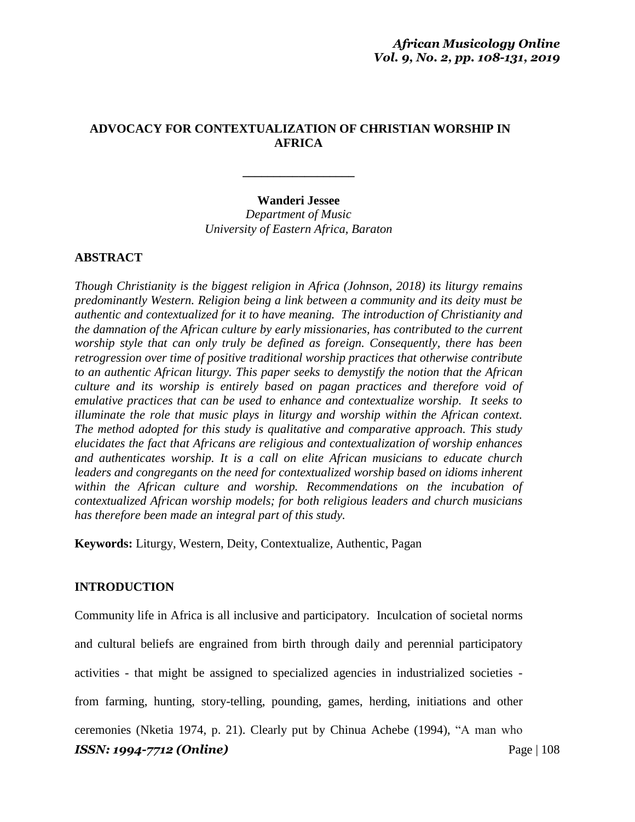# **ADVOCACY FOR CONTEXTUALIZATION OF CHRISTIAN WORSHIP IN AFRICA**

### **Wanderi Jessee** *Department of Music*

**\_\_\_\_\_\_\_\_\_\_\_\_\_\_\_\_\_\_**

*University of Eastern Africa, Baraton*

# **ABSTRACT**

*Though Christianity is the biggest religion in Africa (Johnson, 2018) its liturgy remains predominantly Western. Religion being a link between a community and its deity must be authentic and contextualized for it to have meaning. The introduction of Christianity and the damnation of the African culture by early missionaries, has contributed to the current worship style that can only truly be defined as foreign. Consequently, there has been retrogression over time of positive traditional worship practices that otherwise contribute to an authentic African liturgy. This paper seeks to demystify the notion that the African culture and its worship is entirely based on pagan practices and therefore void of emulative practices that can be used to enhance and contextualize worship. It seeks to illuminate the role that music plays in liturgy and worship within the African context. The method adopted for this study is qualitative and comparative approach. This study elucidates the fact that Africans are religious and contextualization of worship enhances and authenticates worship. It is a call on elite African musicians to educate church leaders and congregants on the need for contextualized worship based on idioms inherent within the African culture and worship. Recommendations on the incubation of contextualized African worship models; for both religious leaders and church musicians has therefore been made an integral part of this study.*

**Keywords:** Liturgy, Western, Deity, Contextualize, Authentic, Pagan

### **INTRODUCTION**

*ISSN: 1994-7712 (Online)* Page | 108 Community life in Africa is all inclusive and participatory. Inculcation of societal norms and cultural beliefs are engrained from birth through daily and perennial participatory activities - that might be assigned to specialized agencies in industrialized societies from farming, hunting, story-telling, pounding, games, herding, initiations and other ceremonies (Nketia 1974, p. 21). Clearly put by Chinua Achebe (1994), "A man who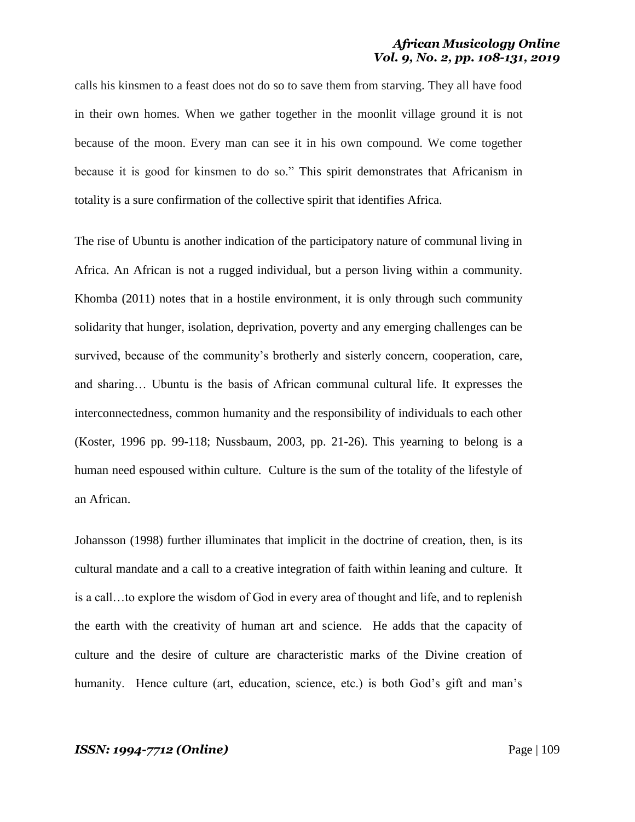calls his kinsmen to a feast does not do so to save them from starving. They all have food in their own homes. When we gather together in the moonlit village ground it is not because of the moon. Every man can see it in his own compound. We come together because it is good for kinsmen to do so." This spirit demonstrates that Africanism in totality is a sure confirmation of the collective spirit that identifies Africa.

The rise of Ubuntu is another indication of the participatory nature of communal living in Africa. An African is not a rugged individual, but a person living within a community. Khomba (2011) notes that in a hostile environment, it is only through such community solidarity that hunger, isolation, deprivation, poverty and any emerging challenges can be survived, because of the community's brotherly and sisterly concern, cooperation, care, and sharing… Ubuntu is the basis of African communal cultural life. It expresses the interconnectedness, common humanity and the responsibility of individuals to each other (Koster, 1996 pp. 99-118; Nussbaum, 2003, pp. 21-26). This yearning to belong is a human need espoused within culture. Culture is the sum of the totality of the lifestyle of an African.

Johansson (1998) further illuminates that implicit in the doctrine of creation, then, is its cultural mandate and a call to a creative integration of faith within leaning and culture. It is a call…to explore the wisdom of God in every area of thought and life, and to replenish the earth with the creativity of human art and science. He adds that the capacity of culture and the desire of culture are characteristic marks of the Divine creation of humanity. Hence culture (art, education, science, etc.) is both God's gift and man's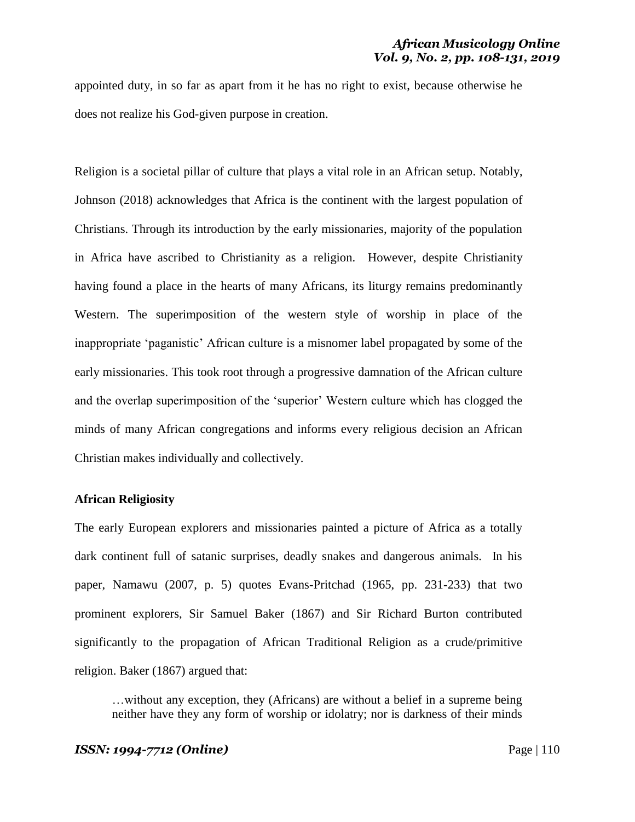appointed duty, in so far as apart from it he has no right to exist, because otherwise he does not realize his God-given purpose in creation.

Religion is a societal pillar of culture that plays a vital role in an African setup. Notably, Johnson (2018) acknowledges that Africa is the continent with the largest population of Christians. Through its introduction by the early missionaries, majority of the population in Africa have ascribed to Christianity as a religion. However, despite Christianity having found a place in the hearts of many Africans, its liturgy remains predominantly Western. The superimposition of the western style of worship in place of the inappropriate 'paganistic' African culture is a misnomer label propagated by some of the early missionaries. This took root through a progressive damnation of the African culture and the overlap superimposition of the 'superior' Western culture which has clogged the minds of many African congregations and informs every religious decision an African Christian makes individually and collectively.

### **African Religiosity**

The early European explorers and missionaries painted a picture of Africa as a totally dark continent full of satanic surprises, deadly snakes and dangerous animals. In his paper, Namawu (2007, p. 5) quotes Evans-Pritchad (1965, pp. 231-233) that two prominent explorers, Sir Samuel Baker (1867) and Sir Richard Burton contributed significantly to the propagation of African Traditional Religion as a crude/primitive religion. Baker (1867) argued that:

…without any exception, they (Africans) are without a belief in a supreme being neither have they any form of worship or idolatry; nor is darkness of their minds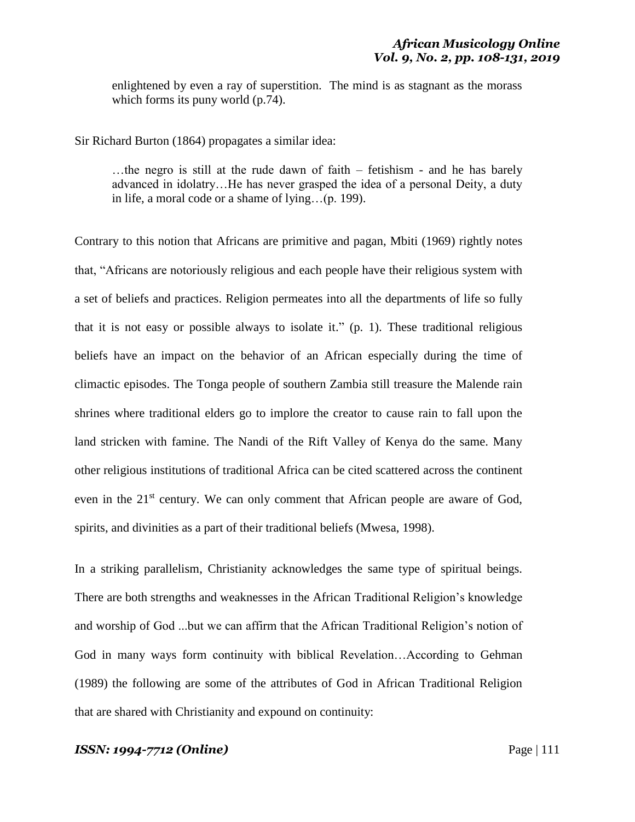enlightened by even a ray of superstition. The mind is as stagnant as the morass which forms its puny world (p.74).

Sir Richard Burton (1864) propagates a similar idea:

…the negro is still at the rude dawn of faith – fetishism - and he has barely advanced in idolatry…He has never grasped the idea of a personal Deity, a duty in life, a moral code or a shame of lying…(p. 199).

Contrary to this notion that Africans are primitive and pagan, Mbiti (1969) rightly notes that, "Africans are notoriously religious and each people have their religious system with a set of beliefs and practices. Religion permeates into all the departments of life so fully that it is not easy or possible always to isolate it." (p. 1). These traditional religious beliefs have an impact on the behavior of an African especially during the time of climactic episodes. The Tonga people of southern Zambia still treasure the Malende rain shrines where traditional elders go to implore the creator to cause rain to fall upon the land stricken with famine. The Nandi of the Rift Valley of Kenya do the same. Many other religious institutions of traditional Africa can be cited scattered across the continent even in the 21<sup>st</sup> century. We can only comment that African people are aware of God, spirits, and divinities as a part of their traditional beliefs (Mwesa, 1998).

In a striking parallelism, Christianity acknowledges the same type of spiritual beings. There are both strengths and weaknesses in the African Traditional Religion's knowledge and worship of God ...but we can affirm that the African Traditional Religion's notion of God in many ways form continuity with biblical Revelation…According to Gehman (1989) the following are some of the attributes of God in African Traditional Religion that are shared with Christianity and expound on continuity: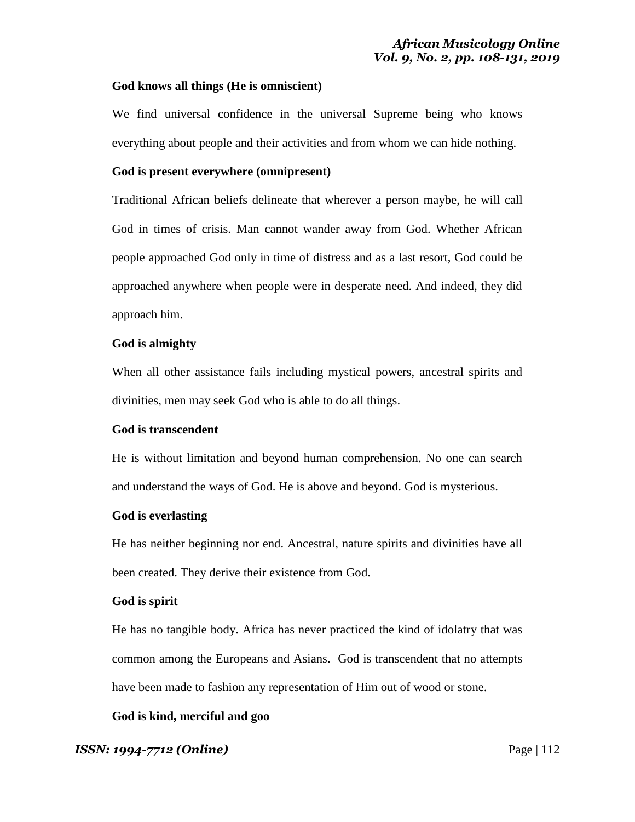### **God knows all things (He is omniscient)**

We find universal confidence in the universal Supreme being who knows everything about people and their activities and from whom we can hide nothing.

### **God is present everywhere (omnipresent)**

Traditional African beliefs delineate that wherever a person maybe, he will call God in times of crisis. Man cannot wander away from God. Whether African people approached God only in time of distress and as a last resort, God could be approached anywhere when people were in desperate need. And indeed, they did approach him.

### **God is almighty**

When all other assistance fails including mystical powers, ancestral spirits and divinities, men may seek God who is able to do all things.

### **God is transcendent**

He is without limitation and beyond human comprehension. No one can search and understand the ways of God. He is above and beyond. God is mysterious.

### **God is everlasting**

He has neither beginning nor end. Ancestral, nature spirits and divinities have all been created. They derive their existence from God.

### **God is spirit**

He has no tangible body. Africa has never practiced the kind of idolatry that was common among the Europeans and Asians. God is transcendent that no attempts have been made to fashion any representation of Him out of wood or stone.

# **God is kind, merciful and goo**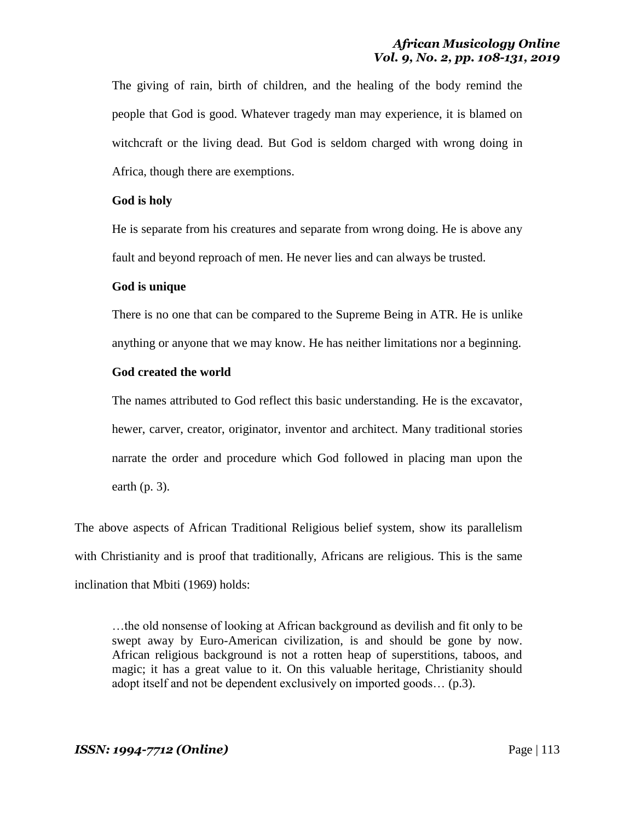The giving of rain, birth of children, and the healing of the body remind the people that God is good. Whatever tragedy man may experience, it is blamed on witchcraft or the living dead. But God is seldom charged with wrong doing in Africa, though there are exemptions.

### **God is holy**

He is separate from his creatures and separate from wrong doing. He is above any fault and beyond reproach of men. He never lies and can always be trusted.

### **God is unique**

There is no one that can be compared to the Supreme Being in ATR. He is unlike anything or anyone that we may know. He has neither limitations nor a beginning.

### **God created the world**

The names attributed to God reflect this basic understanding. He is the excavator, hewer, carver, creator, originator, inventor and architect. Many traditional stories narrate the order and procedure which God followed in placing man upon the earth (p. 3).

The above aspects of African Traditional Religious belief system, show its parallelism with Christianity and is proof that traditionally, Africans are religious. This is the same inclination that Mbiti (1969) holds:

…the old nonsense of looking at African background as devilish and fit only to be swept away by Euro-American civilization, is and should be gone by now. African religious background is not a rotten heap of superstitions, taboos, and magic; it has a great value to it. On this valuable heritage, Christianity should adopt itself and not be dependent exclusively on imported goods… (p.3).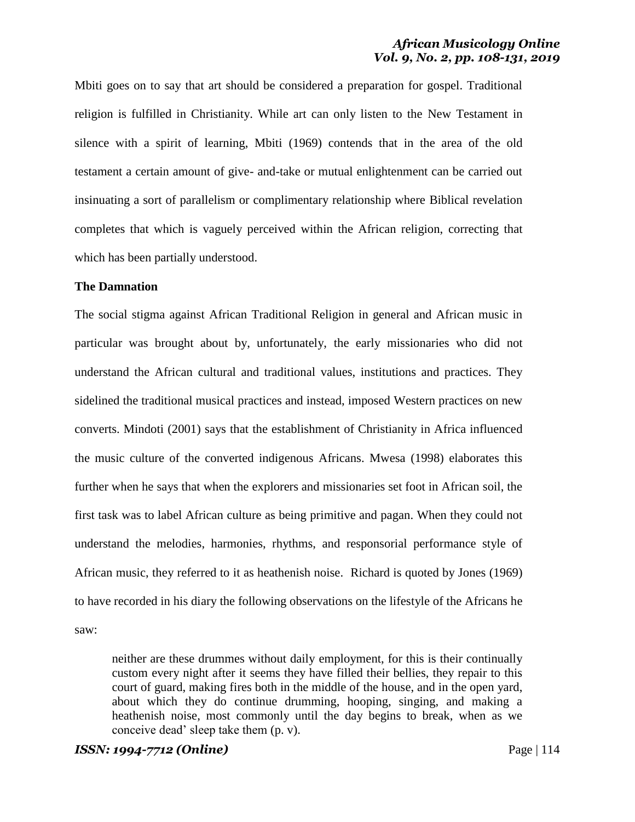Mbiti goes on to say that art should be considered a preparation for gospel. Traditional religion is fulfilled in Christianity. While art can only listen to the New Testament in silence with a spirit of learning, Mbiti (1969) contends that in the area of the old testament a certain amount of give- and-take or mutual enlightenment can be carried out insinuating a sort of parallelism or complimentary relationship where Biblical revelation completes that which is vaguely perceived within the African religion, correcting that which has been partially understood.

### **The Damnation**

The social stigma against African Traditional Religion in general and African music in particular was brought about by, unfortunately, the early missionaries who did not understand the African cultural and traditional values, institutions and practices. They sidelined the traditional musical practices and instead, imposed Western practices on new converts. Mindoti (2001) says that the establishment of Christianity in Africa influenced the music culture of the converted indigenous Africans. Mwesa (1998) elaborates this further when he says that when the explorers and missionaries set foot in African soil, the first task was to label African culture as being primitive and pagan. When they could not understand the melodies, harmonies, rhythms, and responsorial performance style of African music, they referred to it as heathenish noise. Richard is quoted by Jones (1969) to have recorded in his diary the following observations on the lifestyle of the Africans he saw:

neither are these drummes without daily employment, for this is their continually custom every night after it seems they have filled their bellies, they repair to this court of guard, making fires both in the middle of the house, and in the open yard, about which they do continue drumming, hooping, singing, and making a heathenish noise, most commonly until the day begins to break, when as we conceive dead' sleep take them (p. v).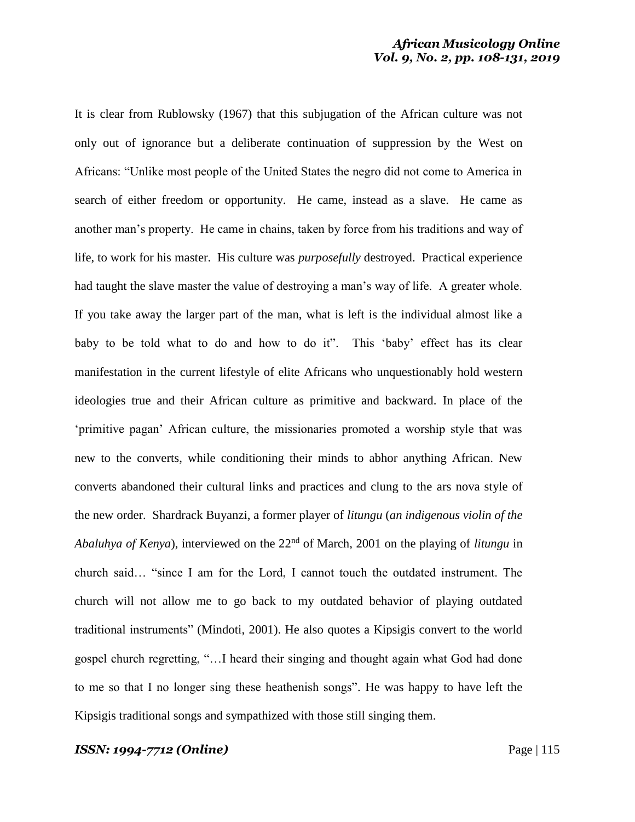It is clear from Rublowsky (1967) that this subjugation of the African culture was not only out of ignorance but a deliberate continuation of suppression by the West on Africans: "Unlike most people of the United States the negro did not come to America in search of either freedom or opportunity. He came, instead as a slave. He came as another man's property. He came in chains, taken by force from his traditions and way of life, to work for his master. His culture was *purposefully* destroyed. Practical experience had taught the slave master the value of destroying a man's way of life. A greater whole. If you take away the larger part of the man, what is left is the individual almost like a baby to be told what to do and how to do it". This 'baby' effect has its clear manifestation in the current lifestyle of elite Africans who unquestionably hold western ideologies true and their African culture as primitive and backward. In place of the 'primitive pagan' African culture, the missionaries promoted a worship style that was new to the converts, while conditioning their minds to abhor anything African. New converts abandoned their cultural links and practices and clung to the ars nova style of the new order. Shardrack Buyanzi, a former player of *litungu* (*an indigenous violin of the Abaluhya of Kenya*), interviewed on the 22nd of March, 2001 on the playing of *litungu* in church said… "since I am for the Lord, I cannot touch the outdated instrument. The church will not allow me to go back to my outdated behavior of playing outdated traditional instruments" (Mindoti, 2001). He also quotes a Kipsigis convert to the world gospel church regretting, "…I heard their singing and thought again what God had done to me so that I no longer sing these heathenish songs". He was happy to have left the Kipsigis traditional songs and sympathized with those still singing them.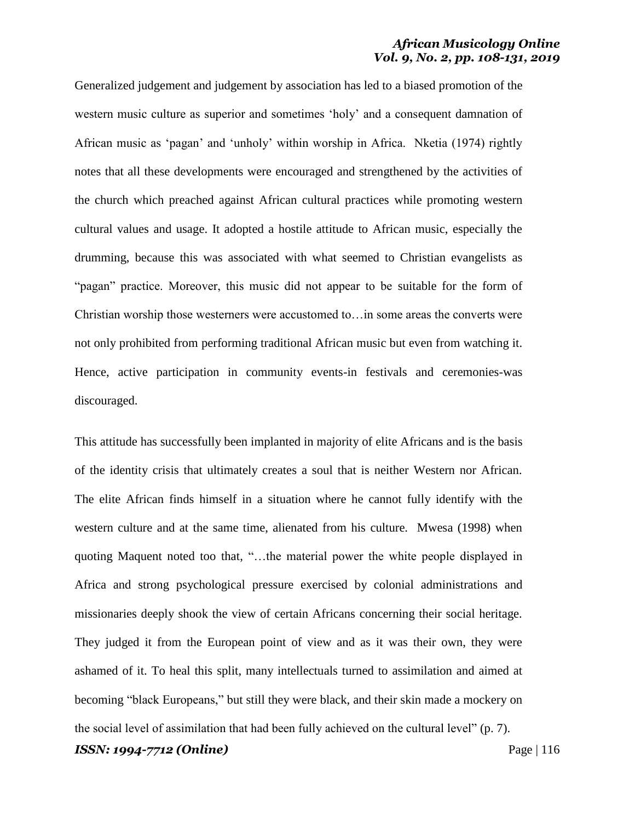Generalized judgement and judgement by association has led to a biased promotion of the western music culture as superior and sometimes 'holy' and a consequent damnation of African music as 'pagan' and 'unholy' within worship in Africa. Nketia (1974) rightly notes that all these developments were encouraged and strengthened by the activities of the church which preached against African cultural practices while promoting western cultural values and usage. It adopted a hostile attitude to African music, especially the drumming, because this was associated with what seemed to Christian evangelists as "pagan" practice. Moreover, this music did not appear to be suitable for the form of Christian worship those westerners were accustomed to…in some areas the converts were not only prohibited from performing traditional African music but even from watching it. Hence, active participation in community events-in festivals and ceremonies-was discouraged.

This attitude has successfully been implanted in majority of elite Africans and is the basis of the identity crisis that ultimately creates a soul that is neither Western nor African. The elite African finds himself in a situation where he cannot fully identify with the western culture and at the same time, alienated from his culture. Mwesa (1998) when quoting Maquent noted too that, "…the material power the white people displayed in Africa and strong psychological pressure exercised by colonial administrations and missionaries deeply shook the view of certain Africans concerning their social heritage. They judged it from the European point of view and as it was their own, they were ashamed of it. To heal this split, many intellectuals turned to assimilation and aimed at becoming "black Europeans," but still they were black, and their skin made a mockery on the social level of assimilation that had been fully achieved on the cultural level" (p. 7).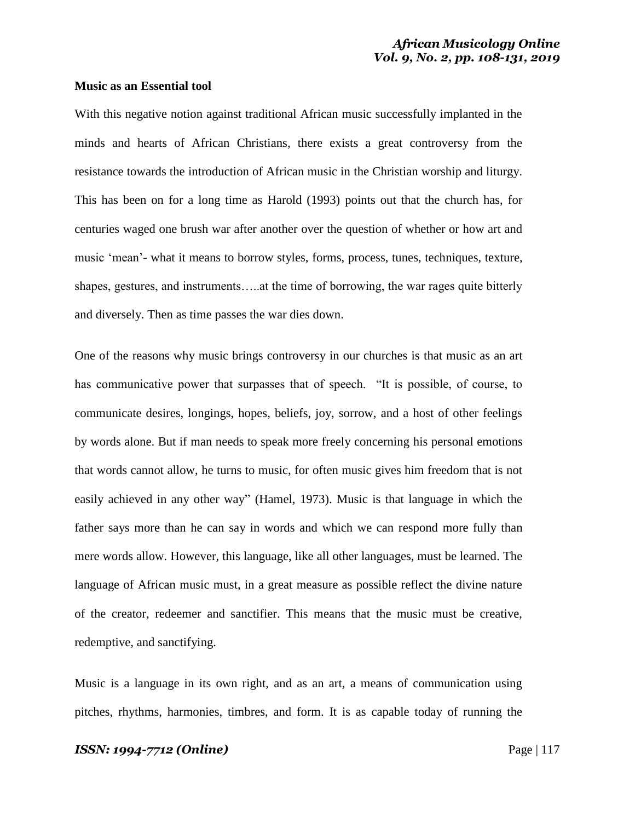### **Music as an Essential tool**

With this negative notion against traditional African music successfully implanted in the minds and hearts of African Christians, there exists a great controversy from the resistance towards the introduction of African music in the Christian worship and liturgy. This has been on for a long time as Harold (1993) points out that the church has, for centuries waged one brush war after another over the question of whether or how art and music 'mean'- what it means to borrow styles, forms, process, tunes, techniques, texture, shapes, gestures, and instruments…..at the time of borrowing, the war rages quite bitterly and diversely. Then as time passes the war dies down.

One of the reasons why music brings controversy in our churches is that music as an art has communicative power that surpasses that of speech. "It is possible, of course, to communicate desires, longings, hopes, beliefs, joy, sorrow, and a host of other feelings by words alone. But if man needs to speak more freely concerning his personal emotions that words cannot allow, he turns to music, for often music gives him freedom that is not easily achieved in any other way" (Hamel, 1973). Music is that language in which the father says more than he can say in words and which we can respond more fully than mere words allow. However, this language, like all other languages, must be learned. The language of African music must, in a great measure as possible reflect the divine nature of the creator, redeemer and sanctifier. This means that the music must be creative, redemptive, and sanctifying.

Music is a language in its own right, and as an art, a means of communication using pitches, rhythms, harmonies, timbres, and form. It is as capable today of running the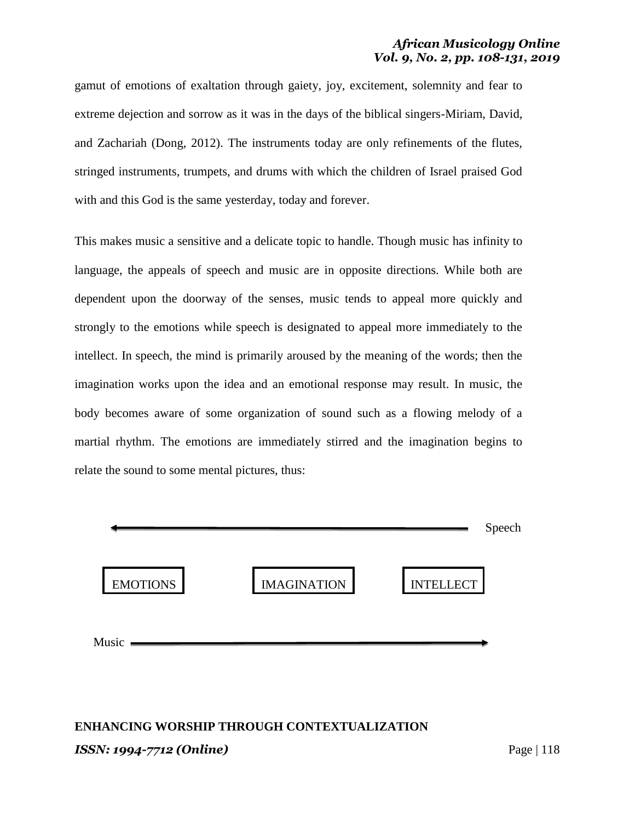gamut of emotions of exaltation through gaiety, joy, excitement, solemnity and fear to extreme dejection and sorrow as it was in the days of the biblical singers-Miriam, David, and Zachariah (Dong, 2012). The instruments today are only refinements of the flutes, stringed instruments, trumpets, and drums with which the children of Israel praised God with and this God is the same yesterday, today and forever.

This makes music a sensitive and a delicate topic to handle. Though music has infinity to language, the appeals of speech and music are in opposite directions. While both are dependent upon the doorway of the senses, music tends to appeal more quickly and strongly to the emotions while speech is designated to appeal more immediately to the intellect. In speech, the mind is primarily aroused by the meaning of the words; then the imagination works upon the idea and an emotional response may result. In music, the body becomes aware of some organization of sound such as a flowing melody of a martial rhythm. The emotions are immediately stirred and the imagination begins to relate the sound to some mental pictures, thus:



# *ISSN: 1994-7712 (Online)* Page | 118 **ENHANCING WORSHIP THROUGH CONTEXTUALIZATION**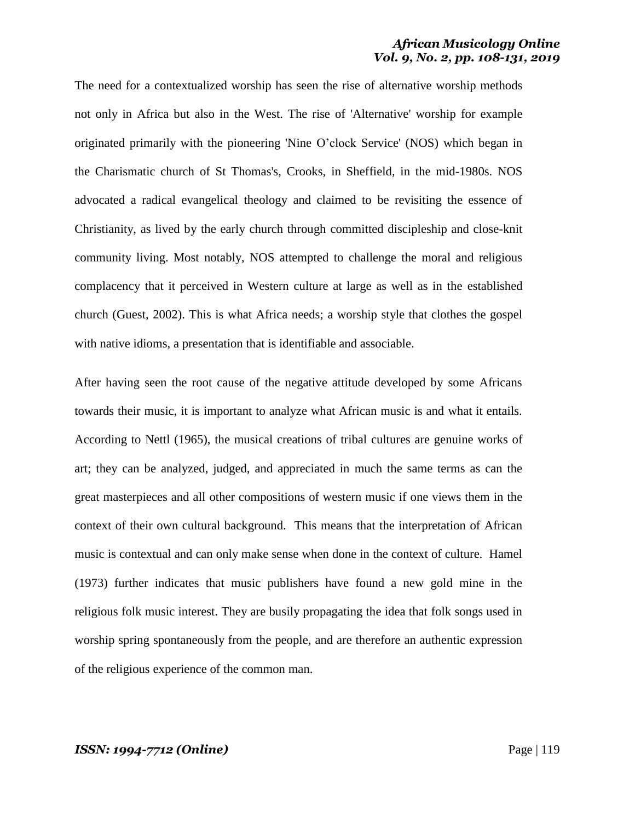The need for a contextualized worship has seen the rise of alternative worship methods not only in Africa but also in the West. The rise of 'Alternative' worship for example originated primarily with the pioneering 'Nine O'clock Service' (NOS) which began in the Charismatic church of St Thomas's, Crooks, in Sheffield, in the mid-1980s. NOS advocated a radical evangelical theology and claimed to be revisiting the essence of Christianity, as lived by the early church through committed discipleship and close-knit community living. Most notably, NOS attempted to challenge the moral and religious complacency that it perceived in Western culture at large as well as in the established church (Guest, 2002). This is what Africa needs; a worship style that clothes the gospel with native idioms, a presentation that is identifiable and associable.

After having seen the root cause of the negative attitude developed by some Africans towards their music, it is important to analyze what African music is and what it entails. According to Nettl (1965), the musical creations of tribal cultures are genuine works of art; they can be analyzed, judged, and appreciated in much the same terms as can the great masterpieces and all other compositions of western music if one views them in the context of their own cultural background. This means that the interpretation of African music is contextual and can only make sense when done in the context of culture. Hamel (1973) further indicates that music publishers have found a new gold mine in the religious folk music interest. They are busily propagating the idea that folk songs used in worship spring spontaneously from the people, and are therefore an authentic expression of the religious experience of the common man.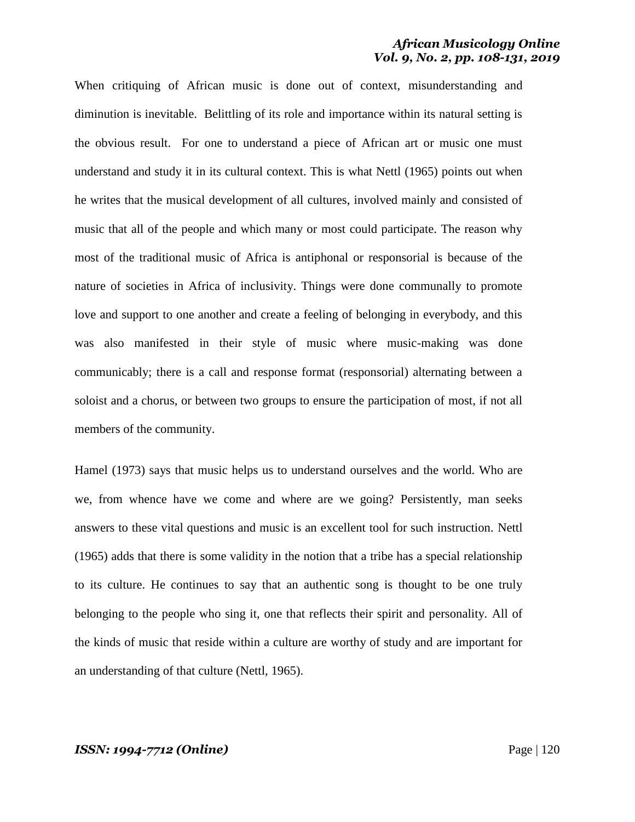When critiquing of African music is done out of context, misunderstanding and diminution is inevitable. Belittling of its role and importance within its natural setting is the obvious result. For one to understand a piece of African art or music one must understand and study it in its cultural context. This is what Nettl (1965) points out when he writes that the musical development of all cultures, involved mainly and consisted of music that all of the people and which many or most could participate. The reason why most of the traditional music of Africa is antiphonal or responsorial is because of the nature of societies in Africa of inclusivity. Things were done communally to promote love and support to one another and create a feeling of belonging in everybody, and this was also manifested in their style of music where music-making was done communicably; there is a call and response format (responsorial) alternating between a soloist and a chorus, or between two groups to ensure the participation of most, if not all members of the community.

Hamel (1973) says that music helps us to understand ourselves and the world. Who are we, from whence have we come and where are we going? Persistently, man seeks answers to these vital questions and music is an excellent tool for such instruction. Nettl (1965) adds that there is some validity in the notion that a tribe has a special relationship to its culture. He continues to say that an authentic song is thought to be one truly belonging to the people who sing it, one that reflects their spirit and personality. All of the kinds of music that reside within a culture are worthy of study and are important for an understanding of that culture (Nettl, 1965).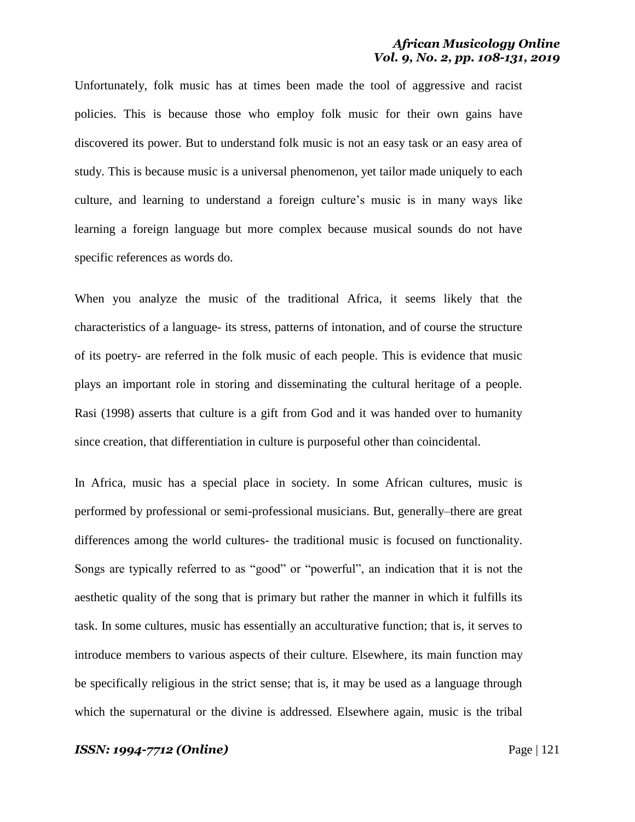Unfortunately, folk music has at times been made the tool of aggressive and racist policies. This is because those who employ folk music for their own gains have discovered its power. But to understand folk music is not an easy task or an easy area of study. This is because music is a universal phenomenon, yet tailor made uniquely to each culture, and learning to understand a foreign culture's music is in many ways like learning a foreign language but more complex because musical sounds do not have specific references as words do.

When you analyze the music of the traditional Africa, it seems likely that the characteristics of a language- its stress, patterns of intonation, and of course the structure of its poetry- are referred in the folk music of each people. This is evidence that music plays an important role in storing and disseminating the cultural heritage of a people. Rasi (1998) asserts that culture is a gift from God and it was handed over to humanity since creation, that differentiation in culture is purposeful other than coincidental.

In Africa, music has a special place in society. In some African cultures, music is performed by professional or semi-professional musicians. But, generally–there are great differences among the world cultures- the traditional music is focused on functionality. Songs are typically referred to as "good" or "powerful", an indication that it is not the aesthetic quality of the song that is primary but rather the manner in which it fulfills its task. In some cultures, music has essentially an acculturative function; that is, it serves to introduce members to various aspects of their culture. Elsewhere, its main function may be specifically religious in the strict sense; that is, it may be used as a language through which the supernatural or the divine is addressed. Elsewhere again, music is the tribal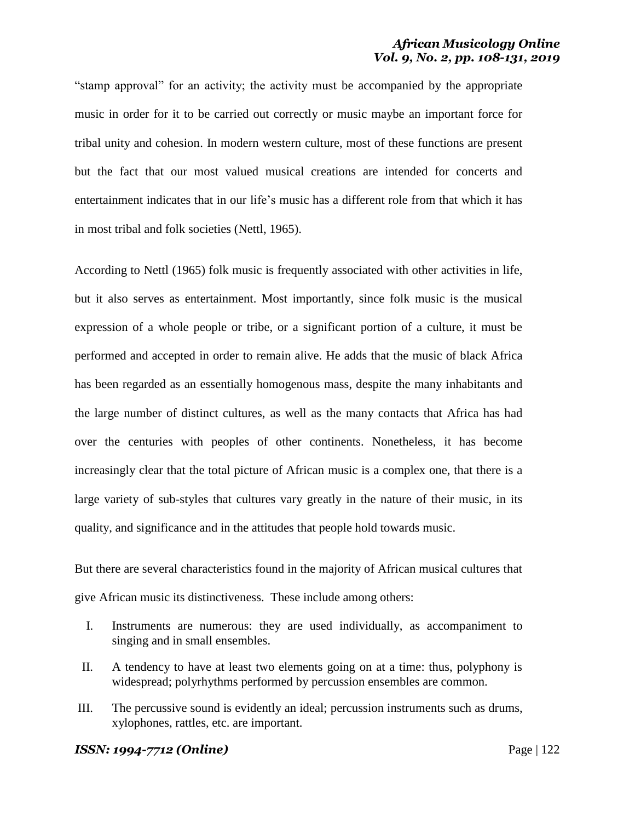"stamp approval" for an activity; the activity must be accompanied by the appropriate music in order for it to be carried out correctly or music maybe an important force for tribal unity and cohesion. In modern western culture, most of these functions are present but the fact that our most valued musical creations are intended for concerts and entertainment indicates that in our life's music has a different role from that which it has in most tribal and folk societies (Nettl, 1965).

According to Nettl (1965) folk music is frequently associated with other activities in life, but it also serves as entertainment. Most importantly, since folk music is the musical expression of a whole people or tribe, or a significant portion of a culture, it must be performed and accepted in order to remain alive. He adds that the music of black Africa has been regarded as an essentially homogenous mass, despite the many inhabitants and the large number of distinct cultures, as well as the many contacts that Africa has had over the centuries with peoples of other continents. Nonetheless, it has become increasingly clear that the total picture of African music is a complex one, that there is a large variety of sub-styles that cultures vary greatly in the nature of their music, in its quality, and significance and in the attitudes that people hold towards music.

But there are several characteristics found in the majority of African musical cultures that give African music its distinctiveness. These include among others:

- I. Instruments are numerous: they are used individually, as accompaniment to singing and in small ensembles.
- II. A tendency to have at least two elements going on at a time: thus, polyphony is widespread; polyrhythms performed by percussion ensembles are common.
- III. The percussive sound is evidently an ideal; percussion instruments such as drums, xylophones, rattles, etc. are important.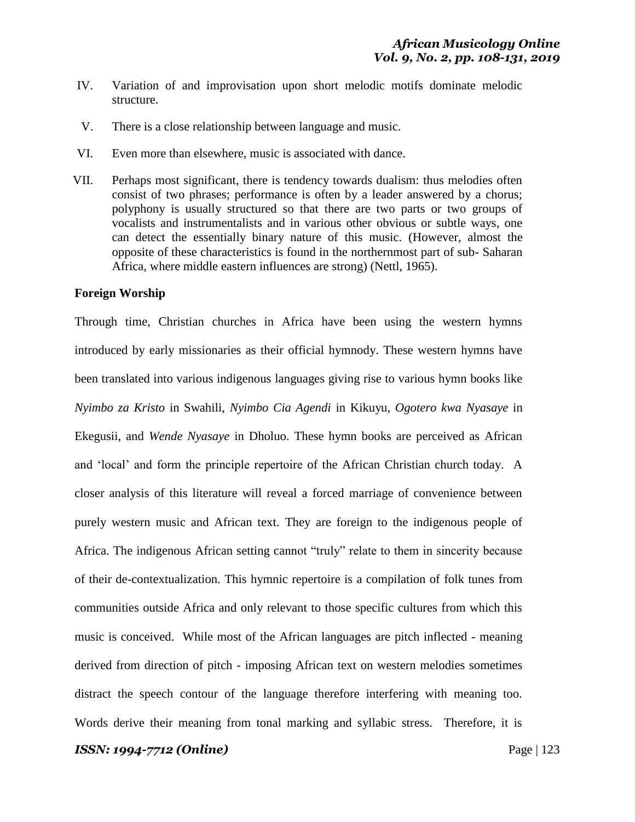- IV. Variation of and improvisation upon short melodic motifs dominate melodic structure.
- V. There is a close relationship between language and music.
- VI. Even more than elsewhere, music is associated with dance.
- VII. Perhaps most significant, there is tendency towards dualism: thus melodies often consist of two phrases; performance is often by a leader answered by a chorus; polyphony is usually structured so that there are two parts or two groups of vocalists and instrumentalists and in various other obvious or subtle ways, one can detect the essentially binary nature of this music. (However, almost the opposite of these characteristics is found in the northernmost part of sub- Saharan Africa, where middle eastern influences are strong) (Nettl, 1965).

### **Foreign Worship**

Through time, Christian churches in Africa have been using the western hymns introduced by early missionaries as their official hymnody. These western hymns have been translated into various indigenous languages giving rise to various hymn books like *Nyimbo za Kristo* in Swahili, *Nyimbo Cia Agendi* in Kikuyu, *Ogotero kwa Nyasaye* in Ekegusii, and *Wende Nyasaye* in Dholuo. These hymn books are perceived as African and 'local' and form the principle repertoire of the African Christian church today. A closer analysis of this literature will reveal a forced marriage of convenience between purely western music and African text. They are foreign to the indigenous people of Africa. The indigenous African setting cannot "truly" relate to them in sincerity because of their de-contextualization. This hymnic repertoire is a compilation of folk tunes from communities outside Africa and only relevant to those specific cultures from which this music is conceived. While most of the African languages are pitch inflected - meaning derived from direction of pitch - imposing African text on western melodies sometimes distract the speech contour of the language therefore interfering with meaning too. Words derive their meaning from tonal marking and syllabic stress. Therefore, it is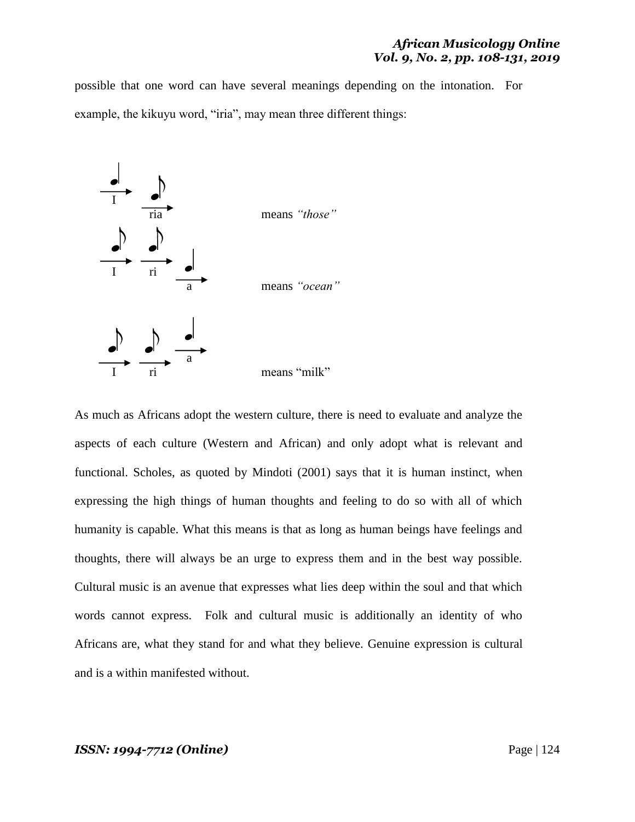possible that one word can have several meanings depending on the intonation. For example, the kikuyu word, "iria", may mean three different things:



As much as Africans adopt the western culture, there is need to evaluate and analyze the aspects of each culture (Western and African) and only adopt what is relevant and functional. Scholes, as quoted by Mindoti (2001) says that it is human instinct, when expressing the high things of human thoughts and feeling to do so with all of which humanity is capable. What this means is that as long as human beings have feelings and thoughts, there will always be an urge to express them and in the best way possible. Cultural music is an avenue that expresses what lies deep within the soul and that which words cannot express. Folk and cultural music is additionally an identity of who Africans are, what they stand for and what they believe. Genuine expression is cultural and is a within manifested without.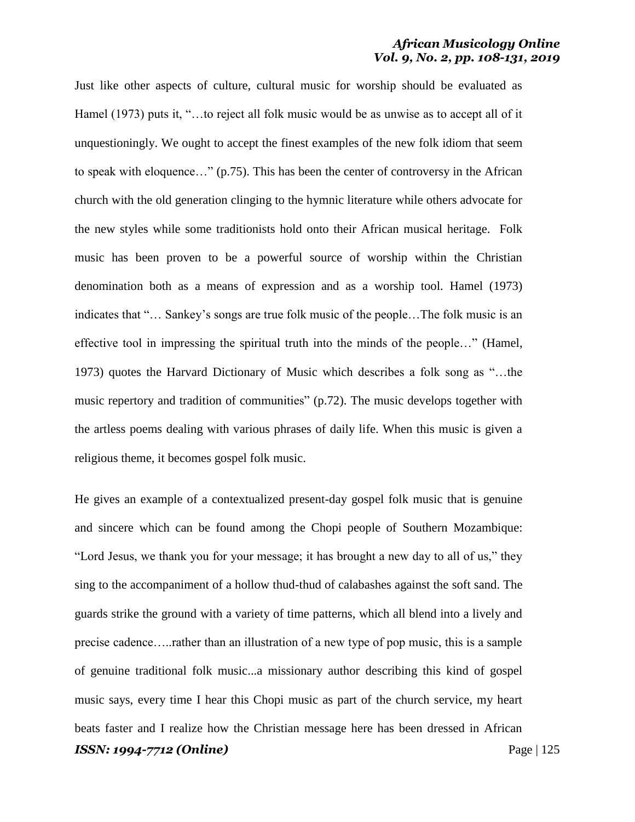Just like other aspects of culture, cultural music for worship should be evaluated as Hamel (1973) puts it, "…to reject all folk music would be as unwise as to accept all of it unquestioningly. We ought to accept the finest examples of the new folk idiom that seem to speak with eloquence…" (p.75). This has been the center of controversy in the African church with the old generation clinging to the hymnic literature while others advocate for the new styles while some traditionists hold onto their African musical heritage. Folk music has been proven to be a powerful source of worship within the Christian denomination both as a means of expression and as a worship tool. Hamel (1973) indicates that "… Sankey's songs are true folk music of the people…The folk music is an effective tool in impressing the spiritual truth into the minds of the people…" (Hamel, 1973) quotes the Harvard Dictionary of Music which describes a folk song as "…the music repertory and tradition of communities" (p.72). The music develops together with the artless poems dealing with various phrases of daily life. When this music is given a religious theme, it becomes gospel folk music.

*ISSN: 1994-7712 (Online)* Page | 125 He gives an example of a contextualized present-day gospel folk music that is genuine and sincere which can be found among the Chopi people of Southern Mozambique: "Lord Jesus, we thank you for your message; it has brought a new day to all of us," they sing to the accompaniment of a hollow thud-thud of calabashes against the soft sand. The guards strike the ground with a variety of time patterns, which all blend into a lively and precise cadence…..rather than an illustration of a new type of pop music, this is a sample of genuine traditional folk music...a missionary author describing this kind of gospel music says, every time I hear this Chopi music as part of the church service, my heart beats faster and I realize how the Christian message here has been dressed in African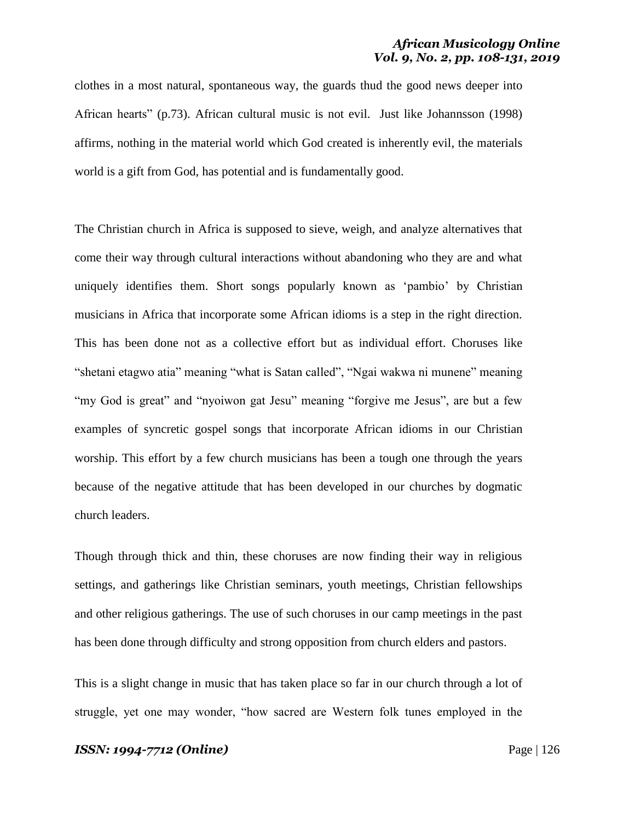clothes in a most natural, spontaneous way, the guards thud the good news deeper into African hearts" (p.73). African cultural music is not evil. Just like Johannsson (1998) affirms, nothing in the material world which God created is inherently evil, the materials world is a gift from God, has potential and is fundamentally good.

The Christian church in Africa is supposed to sieve, weigh, and analyze alternatives that come their way through cultural interactions without abandoning who they are and what uniquely identifies them. Short songs popularly known as 'pambio' by Christian musicians in Africa that incorporate some African idioms is a step in the right direction. This has been done not as a collective effort but as individual effort. Choruses like "shetani etagwo atia" meaning "what is Satan called", "Ngai wakwa ni munene" meaning "my God is great" and "nyoiwon gat Jesu" meaning "forgive me Jesus", are but a few examples of syncretic gospel songs that incorporate African idioms in our Christian worship. This effort by a few church musicians has been a tough one through the years because of the negative attitude that has been developed in our churches by dogmatic church leaders.

Though through thick and thin, these choruses are now finding their way in religious settings, and gatherings like Christian seminars, youth meetings, Christian fellowships and other religious gatherings. The use of such choruses in our camp meetings in the past has been done through difficulty and strong opposition from church elders and pastors.

This is a slight change in music that has taken place so far in our church through a lot of struggle, yet one may wonder, "how sacred are Western folk tunes employed in the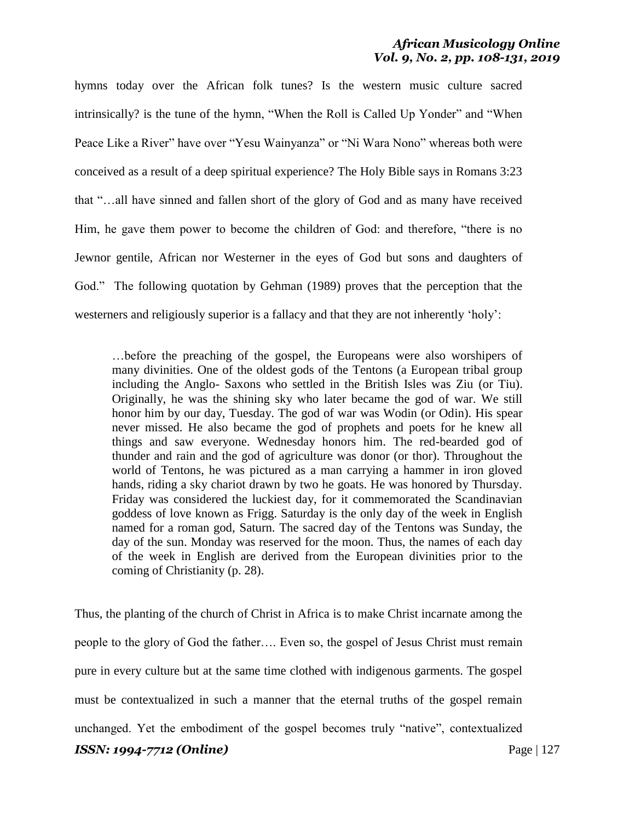hymns today over the African folk tunes? Is the western music culture sacred intrinsically? is the tune of the hymn, "When the Roll is Called Up Yonder" and "When Peace Like a River" have over "Yesu Wainyanza" or "Ni Wara Nono" whereas both were conceived as a result of a deep spiritual experience? The Holy Bible says in Romans 3:23 that "…all have sinned and fallen short of the glory of God and as many have received Him, he gave them power to become the children of God: and therefore, "there is no Jewnor gentile, African nor Westerner in the eyes of God but sons and daughters of God." The following quotation by Gehman (1989) proves that the perception that the westerners and religiously superior is a fallacy and that they are not inherently 'holy':

…before the preaching of the gospel, the Europeans were also worshipers of many divinities. One of the oldest gods of the Tentons (a European tribal group including the Anglo- Saxons who settled in the British Isles was Ziu (or Tiu). Originally, he was the shining sky who later became the god of war. We still honor him by our day, Tuesday. The god of war was Wodin (or Odin). His spear never missed. He also became the god of prophets and poets for he knew all things and saw everyone. Wednesday honors him. The red-bearded god of thunder and rain and the god of agriculture was donor (or thor). Throughout the world of Tentons, he was pictured as a man carrying a hammer in iron gloved hands, riding a sky chariot drawn by two he goats. He was honored by Thursday. Friday was considered the luckiest day, for it commemorated the Scandinavian goddess of love known as Frigg. Saturday is the only day of the week in English named for a roman god, Saturn. The sacred day of the Tentons was Sunday, the day of the sun. Monday was reserved for the moon. Thus, the names of each day of the week in English are derived from the European divinities prior to the coming of Christianity (p. 28).

*ISSN: 1994-7712 (Online)* Page | 127 Thus, the planting of the church of Christ in Africa is to make Christ incarnate among the people to the glory of God the father…. Even so, the gospel of Jesus Christ must remain pure in every culture but at the same time clothed with indigenous garments. The gospel must be contextualized in such a manner that the eternal truths of the gospel remain unchanged. Yet the embodiment of the gospel becomes truly "native", contextualized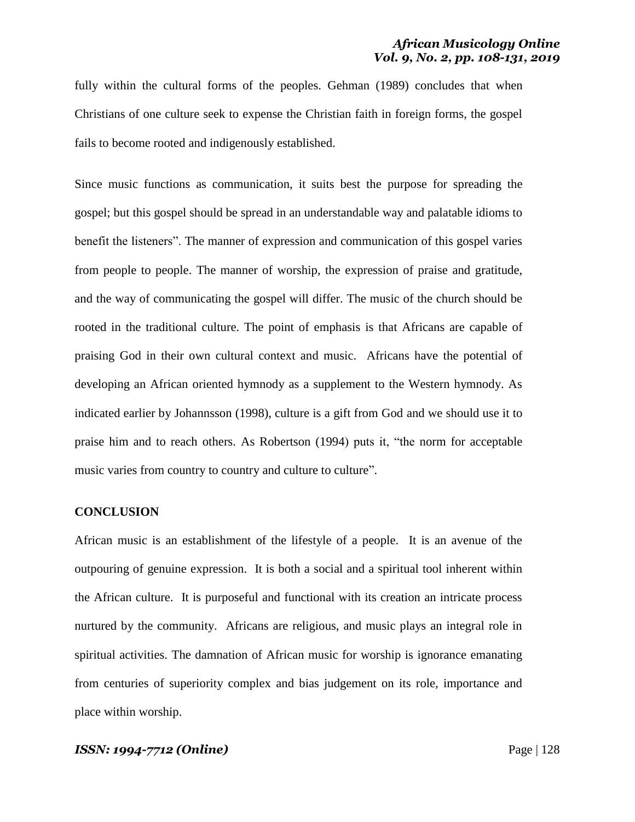fully within the cultural forms of the peoples. Gehman (1989) concludes that when Christians of one culture seek to expense the Christian faith in foreign forms, the gospel fails to become rooted and indigenously established.

Since music functions as communication, it suits best the purpose for spreading the gospel; but this gospel should be spread in an understandable way and palatable idioms to benefit the listeners". The manner of expression and communication of this gospel varies from people to people. The manner of worship, the expression of praise and gratitude, and the way of communicating the gospel will differ. The music of the church should be rooted in the traditional culture. The point of emphasis is that Africans are capable of praising God in their own cultural context and music. Africans have the potential of developing an African oriented hymnody as a supplement to the Western hymnody. As indicated earlier by Johannsson (1998), culture is a gift from God and we should use it to praise him and to reach others. As Robertson (1994) puts it, "the norm for acceptable music varies from country to country and culture to culture".

### **CONCLUSION**

African music is an establishment of the lifestyle of a people. It is an avenue of the outpouring of genuine expression. It is both a social and a spiritual tool inherent within the African culture. It is purposeful and functional with its creation an intricate process nurtured by the community. Africans are religious, and music plays an integral role in spiritual activities. The damnation of African music for worship is ignorance emanating from centuries of superiority complex and bias judgement on its role, importance and place within worship.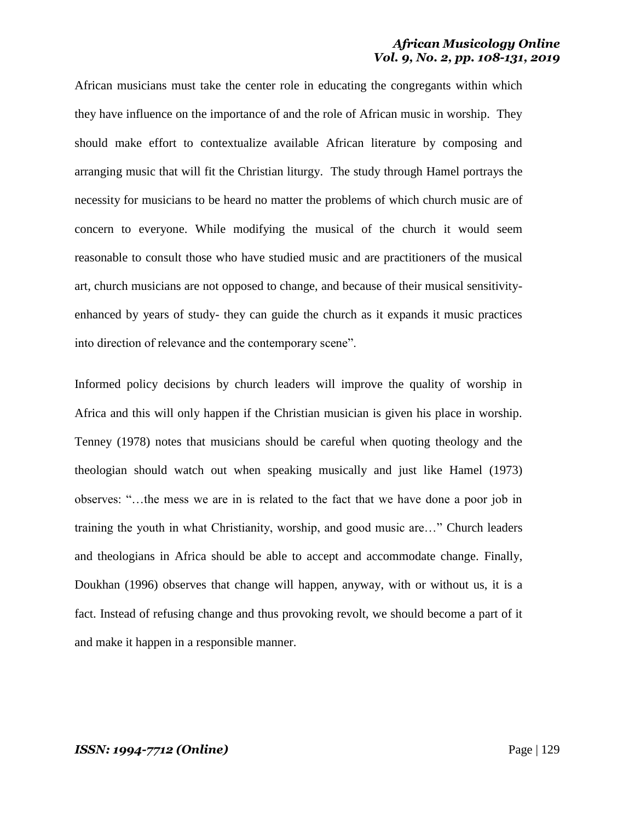African musicians must take the center role in educating the congregants within which they have influence on the importance of and the role of African music in worship. They should make effort to contextualize available African literature by composing and arranging music that will fit the Christian liturgy. The study through Hamel portrays the necessity for musicians to be heard no matter the problems of which church music are of concern to everyone. While modifying the musical of the church it would seem reasonable to consult those who have studied music and are practitioners of the musical art, church musicians are not opposed to change, and because of their musical sensitivityenhanced by years of study- they can guide the church as it expands it music practices into direction of relevance and the contemporary scene".

Informed policy decisions by church leaders will improve the quality of worship in Africa and this will only happen if the Christian musician is given his place in worship. Tenney (1978) notes that musicians should be careful when quoting theology and the theologian should watch out when speaking musically and just like Hamel (1973) observes: "…the mess we are in is related to the fact that we have done a poor job in training the youth in what Christianity, worship, and good music are…" Church leaders and theologians in Africa should be able to accept and accommodate change. Finally, Doukhan (1996) observes that change will happen, anyway, with or without us, it is a fact. Instead of refusing change and thus provoking revolt, we should become a part of it and make it happen in a responsible manner.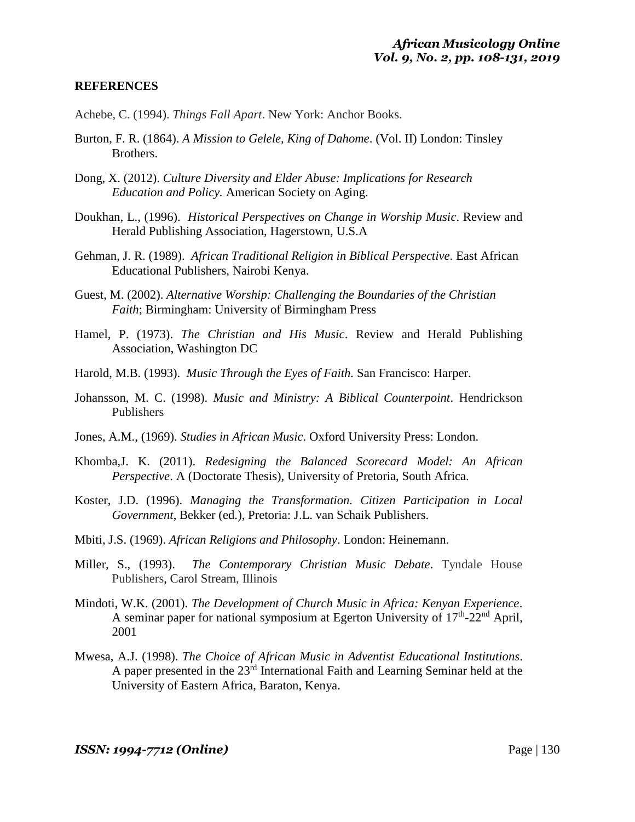# **REFERENCES**

- Achebe, C. (1994). *Things Fall Apart*. New York: Anchor Books.
- Burton, F. R. (1864). *A Mission to Gelele, King of Dahome*. (Vol. II) London: Tinsley Brothers.
- Dong, X. (2012). *Culture Diversity and Elder Abuse: Implications for Research Education and Policy.* American Society on Aging.
- Doukhan, L., (1996). *Historical Perspectives on Change in Worship Music*. Review and Herald Publishing Association, Hagerstown, U.S.A
- Gehman, J. R. (1989). *African Traditional Religion in Biblical Perspective*. East African Educational Publishers, Nairobi Kenya.
- Guest, M. (2002). *Alternative Worship: Challenging the Boundaries of the Christian Faith*; Birmingham: University of Birmingham Press
- Hamel, P. (1973). *The Christian and His Music*. Review and Herald Publishing Association, Washington DC
- Harold, M.B. (1993). *Music Through the Eyes of Faith.* San Francisco: Harper.
- Johansson, M. C. (1998). *Music and Ministry: A Biblical Counterpoint*. Hendrickson Publishers
- Jones, A.M., (1969). *Studies in African Music*. Oxford University Press: London.
- Khomba,J. K. (2011). *Redesigning the Balanced Scorecard Model: An African Perspective*. A (Doctorate Thesis), University of Pretoria, South Africa.
- Koster, J.D. (1996). *Managing the Transformation. Citizen Participation in Local Government*, Bekker (ed.), Pretoria: J.L. van Schaik Publishers.
- Mbiti, J.S. (1969). *African Religions and Philosophy*. London: Heinemann.
- Miller, S., (1993). *The Contemporary Christian Music Debate*. Tyndale House Publishers, Carol Stream, Illinois
- Mindoti, W.K. (2001). *The Development of Church Music in Africa: Kenyan Experience*. A seminar paper for national symposium at Egerton University of  $17<sup>th</sup>$ -22<sup>nd</sup> April, 2001
- Mwesa, A.J. (1998). *The Choice of African Music in Adventist Educational Institutions*. A paper presented in the  $23<sup>rd</sup>$  International Faith and Learning Seminar held at the University of Eastern Africa, Baraton, Kenya.